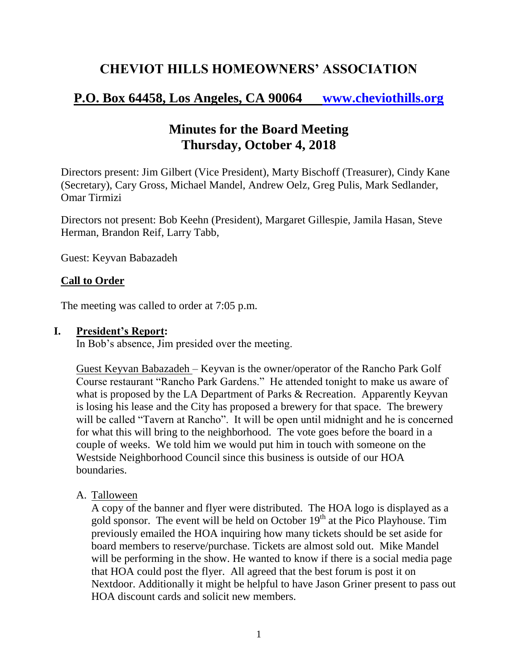# **CHEVIOT HILLS HOMEOWNERS' ASSOCIATION**

## **P.O. Box 64458, Los Angeles, CA 90064 [www.cheviothills.org](http://www.cheviothills.org/)**

## **Minutes for the Board Meeting Thursday, October 4, 2018**

Directors present: Jim Gilbert (Vice President), Marty Bischoff (Treasurer), Cindy Kane (Secretary), Cary Gross, Michael Mandel, Andrew Oelz, Greg Pulis, Mark Sedlander, Omar Tirmizi

Directors not present: Bob Keehn (President), Margaret Gillespie, Jamila Hasan, Steve Herman, Brandon Reif, Larry Tabb,

Guest: Keyvan Babazadeh

#### **Call to Order**

The meeting was called to order at 7:05 p.m.

#### **I. President's Report:**

In Bob's absence, Jim presided over the meeting.

Guest Keyvan Babazadeh – Keyvan is the owner/operator of the Rancho Park Golf Course restaurant "Rancho Park Gardens." He attended tonight to make us aware of what is proposed by the LA Department of Parks & Recreation. Apparently Keyvan is losing his lease and the City has proposed a brewery for that space. The brewery will be called "Tavern at Rancho". It will be open until midnight and he is concerned for what this will bring to the neighborhood. The vote goes before the board in a couple of weeks. We told him we would put him in touch with someone on the Westside Neighborhood Council since this business is outside of our HOA boundaries.

## A. Talloween

A copy of the banner and flyer were distributed. The HOA logo is displayed as a gold sponsor. The event will be held on October  $19<sup>th</sup>$  at the Pico Playhouse. Tim previously emailed the HOA inquiring how many tickets should be set aside for board members to reserve/purchase. Tickets are almost sold out. Mike Mandel will be performing in the show. He wanted to know if there is a social media page that HOA could post the flyer. All agreed that the best forum is post it on Nextdoor. Additionally it might be helpful to have Jason Griner present to pass out HOA discount cards and solicit new members.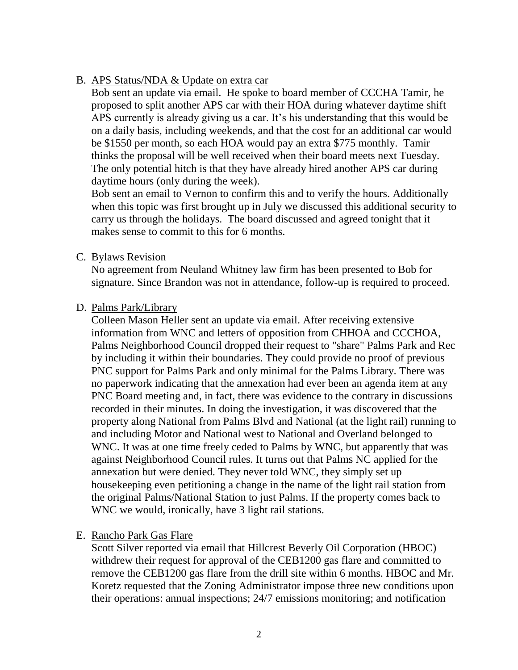#### B. APS Status/NDA & Update on extra car

Bob sent an update via email. He spoke to board member of CCCHA Tamir, he proposed to split another APS car with their HOA during whatever daytime shift APS currently is already giving us a car. It's his understanding that this would be on a daily basis, including weekends, and that the cost for an additional car would be \$1550 per month, so each HOA would pay an extra \$775 monthly. Tamir thinks the proposal will be well received when their board meets next Tuesday. The only potential hitch is that they have already hired another APS car during daytime hours (only during the week).

Bob sent an email to Vernon to confirm this and to verify the hours. Additionally when this topic was first brought up in July we discussed this additional security to carry us through the holidays. The board discussed and agreed tonight that it makes sense to commit to this for 6 months.

#### C. Bylaws Revision

No agreement from Neuland Whitney law firm has been presented to Bob for signature. Since Brandon was not in attendance, follow-up is required to proceed.

#### D. Palms Park/Library

Colleen Mason Heller sent an update via email. After receiving extensive information from WNC and letters of opposition from CHHOA and CCCHOA, Palms Neighborhood Council dropped their request to "share" Palms Park and Rec by including it within their boundaries. They could provide no proof of previous PNC support for Palms Park and only minimal for the Palms Library. There was no paperwork indicating that the annexation had ever been an agenda item at any PNC Board meeting and, in fact, there was evidence to the contrary in discussions recorded in their minutes. In doing the investigation, it was discovered that the property along National from Palms Blvd and National (at the light rail) running to and including Motor and National west to National and Overland belonged to WNC. It was at one time freely ceded to Palms by WNC, but apparently that was against Neighborhood Council rules. It turns out that Palms NC applied for the annexation but were denied. They never told WNC, they simply set up housekeeping even petitioning a change in the name of the light rail station from the original Palms/National Station to just Palms. If the property comes back to WNC we would, ironically, have 3 light rail stations.

## E. Rancho Park Gas Flare

Scott Silver reported via email that Hillcrest Beverly Oil Corporation (HBOC) withdrew their request for approval of the CEB1200 gas flare and committed to remove the CEB1200 gas flare from the drill site within 6 months. HBOC and Mr. Koretz requested that the Zoning Administrator impose three new conditions upon their operations: annual inspections; 24/7 emissions monitoring; and notification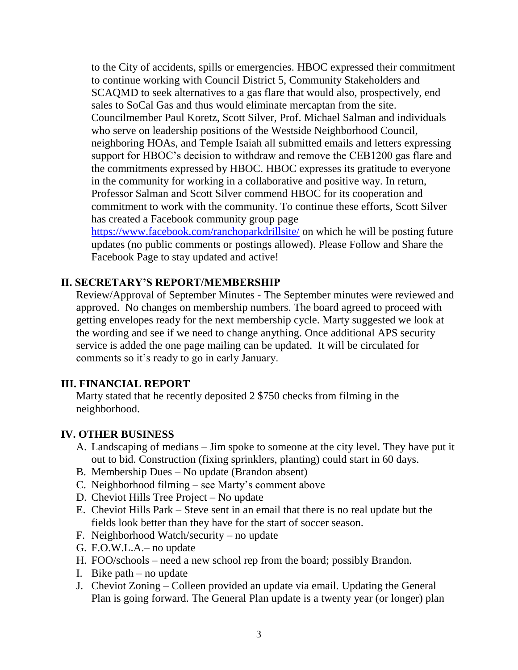to the City of accidents, spills or emergencies. HBOC expressed their commitment to continue working with Council District 5, Community Stakeholders and SCAQMD to seek alternatives to a gas flare that would also, prospectively, end sales to SoCal Gas and thus would eliminate mercaptan from the site. Councilmember Paul Koretz, Scott Silver, Prof. Michael Salman and individuals who serve on leadership positions of the Westside Neighborhood Council, neighboring HOAs, and Temple Isaiah all submitted emails and letters expressing support for HBOC's decision to withdraw and remove the CEB1200 gas flare and the commitments expressed by HBOC. HBOC expresses its gratitude to everyone in the community for working in a collaborative and positive way. In return, Professor Salman and Scott Silver commend HBOC for its cooperation and commitment to work with the community. To continue these efforts, Scott Silver has created a Facebook community group page <https://www.facebook.com/ranchoparkdrillsite/> on which he will be posting future

updates (no public comments or postings allowed). Please Follow and Share the Facebook Page to stay updated and active!

## **II. SECRETARY'S REPORT/MEMBERSHIP**

Review/Approval of September Minutes - The September minutes were reviewed and approved. No changes on membership numbers. The board agreed to proceed with getting envelopes ready for the next membership cycle. Marty suggested we look at the wording and see if we need to change anything. Once additional APS security service is added the one page mailing can be updated. It will be circulated for comments so it's ready to go in early January.

#### **III. FINANCIAL REPORT**

Marty stated that he recently deposited 2 \$750 checks from filming in the neighborhood.

## **IV. OTHER BUSINESS**

- A. Landscaping of medians Jim spoke to someone at the city level. They have put it out to bid. Construction (fixing sprinklers, planting) could start in 60 days.
- B. Membership Dues No update (Brandon absent)
- C. Neighborhood filming see Marty's comment above
- D. Cheviot Hills Tree Project No update
- E. Cheviot Hills Park Steve sent in an email that there is no real update but the fields look better than they have for the start of soccer season.
- F. Neighborhood Watch/security no update
- G. F.O.W.L.A.– no update
- H. FOO/schools need a new school rep from the board; possibly Brandon.
- I. Bike path  $-$  no update
- J. Cheviot Zoning Colleen provided an update via email. Updating the General Plan is going forward. The General Plan update is a twenty year (or longer) plan